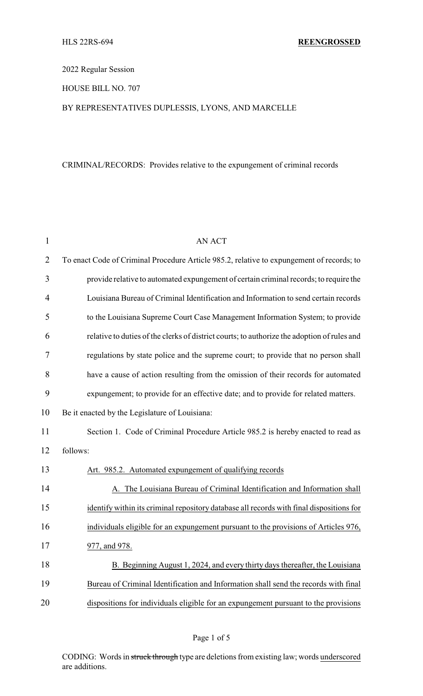# 2022 Regular Session

#### HOUSE BILL NO. 707

# BY REPRESENTATIVES DUPLESSIS, LYONS, AND MARCELLE

# CRIMINAL/RECORDS: Provides relative to the expungement of criminal records

| 1              | <b>AN ACT</b>                                                                               |
|----------------|---------------------------------------------------------------------------------------------|
| $\overline{2}$ | To enact Code of Criminal Procedure Article 985.2, relative to expungement of records; to   |
| 3              | provide relative to automated expungement of certain criminal records; to require the       |
| $\overline{4}$ | Louisiana Bureau of Criminal Identification and Information to send certain records         |
| 5              | to the Louisiana Supreme Court Case Management Information System; to provide               |
| 6              | relative to duties of the clerks of district courts; to authorize the adoption of rules and |
| 7              | regulations by state police and the supreme court; to provide that no person shall          |
| 8              | have a cause of action resulting from the omission of their records for automated           |
| 9              | expungement; to provide for an effective date; and to provide for related matters.          |
| 10             | Be it enacted by the Legislature of Louisiana:                                              |
| 11             | Section 1. Code of Criminal Procedure Article 985.2 is hereby enacted to read as            |
| 12             | follows:                                                                                    |
| 13             | Art. 985.2. Automated expungement of qualifying records                                     |
| 14             | A. The Louisiana Bureau of Criminal Identification and Information shall                    |
| 15             | identify within its criminal repository database all records with final dispositions for    |
| 16             | individuals eligible for an expungement pursuant to the provisions of Articles 976,         |
| 17             | 977, and 978.                                                                               |
| 18             | B. Beginning August 1, 2024, and every thirty days thereafter, the Louisiana                |
| 19             | Bureau of Criminal Identification and Information shall send the records with final         |
| 20             | dispositions for individuals eligible for an expungement pursuant to the provisions         |

CODING: Words in struck through type are deletions from existing law; words underscored are additions.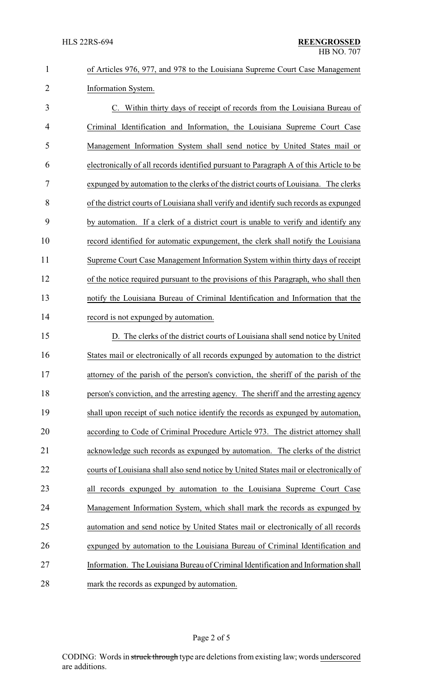| $\mathbf{1}$   | of Articles 976, 977, and 978 to the Louisiana Supreme Court Case Management           |
|----------------|----------------------------------------------------------------------------------------|
| $\overline{2}$ | Information System.                                                                    |
| 3              | C. Within thirty days of receipt of records from the Louisiana Bureau of               |
| 4              | Criminal Identification and Information, the Louisiana Supreme Court Case              |
| 5              | Management Information System shall send notice by United States mail or               |
| 6              | electronically of all records identified pursuant to Paragraph A of this Article to be |
| 7              | expunged by automation to the clerks of the district courts of Louisiana. The clerks   |
| 8              | of the district courts of Louisiana shall verify and identify such records as expunged |
| 9              | by automation. If a clerk of a district court is unable to verify and identify any     |
| 10             | record identified for automatic expungement, the clerk shall notify the Louisiana      |
| 11             | Supreme Court Case Management Information System within thirty days of receipt         |
| 12             | of the notice required pursuant to the provisions of this Paragraph, who shall then    |
| 13             | notify the Louisiana Bureau of Criminal Identification and Information that the        |
| 14             | record is not expunged by automation.                                                  |
| 15             | D. The clerks of the district courts of Louisiana shall send notice by United          |
| 16             | States mail or electronically of all records expunged by automation to the district    |
| 17             | attorney of the parish of the person's conviction, the sheriff of the parish of the    |
| 18             | person's conviction, and the arresting agency. The sheriff and the arresting agency    |
| 19             | shall upon receipt of such notice identify the records as expunged by automation,      |
| 20             | according to Code of Criminal Procedure Article 973. The district attorney shall       |
| 21             | acknowledge such records as expunged by automation. The clerks of the district         |
| 22             | courts of Louisiana shall also send notice by United States mail or electronically of  |
| 23             | all records expunged by automation to the Louisiana Supreme Court Case                 |
| 24             | Management Information System, which shall mark the records as expunged by             |
| 25             | automation and send notice by United States mail or electronically of all records      |
| 26             | expunged by automation to the Louisiana Bureau of Criminal Identification and          |
| 27             | Information. The Louisiana Bureau of Criminal Identification and Information shall     |
| 28             | mark the records as expunged by automation.                                            |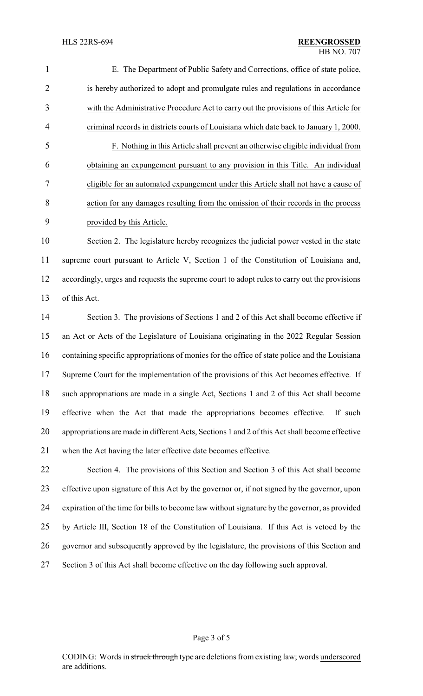| $\mathbf{1}$   | E. The Department of Public Safety and Corrections, office of state police,                    |
|----------------|------------------------------------------------------------------------------------------------|
| $\overline{2}$ | is hereby authorized to adopt and promulgate rules and regulations in accordance               |
| 3              | with the Administrative Procedure Act to carry out the provisions of this Article for          |
| 4              | criminal records in districts courts of Louisiana which date back to January 1, 2000.          |
| 5              | F. Nothing in this Article shall prevent an otherwise eligible individual from                 |
| 6              | obtaining an expungement pursuant to any provision in this Title. An individual                |
| 7              | eligible for an automated expungement under this Article shall not have a cause of             |
| 8              | action for any damages resulting from the omission of their records in the process             |
| 9              | provided by this Article.                                                                      |
| 10             | Section 2. The legislature hereby recognizes the judicial power vested in the state            |
| 11             | supreme court pursuant to Article V, Section 1 of the Constitution of Louisiana and,           |
| 12             | accordingly, urges and requests the supreme court to adopt rules to carry out the provisions   |
| 13             | of this Act.                                                                                   |
| 14             | Section 3. The provisions of Sections 1 and 2 of this Act shall become effective if            |
| 15             | an Act or Acts of the Legislature of Louisiana originating in the 2022 Regular Session         |
| 16             | containing specific appropriations of monies for the office of state police and the Louisiana  |
| 17             | Supreme Court for the implementation of the provisions of this Act becomes effective. If       |
| 18             | such appropriations are made in a single Act, Sections 1 and 2 of this Act shall become        |
| 19             | effective when the Act that made the appropriations becomes effective.<br>If such              |
| 20             | appropriations are made in different Acts, Sections 1 and 2 of this Act shall become effective |
| 21             | when the Act having the later effective date becomes effective.                                |
| 22             | Section 4. The provisions of this Section and Section 3 of this Act shall become               |
| 23             | effective upon signature of this Act by the governor or, if not signed by the governor, upon   |
| 24             | expiration of the time for bills to become law without signature by the governor, as provided  |
| 25             | by Article III, Section 18 of the Constitution of Louisiana. If this Act is vetoed by the      |
| 26             | governor and subsequently approved by the legislature, the provisions of this Section and      |
|                |                                                                                                |

Section 3 of this Act shall become effective on the day following such approval.

# Page 3 of 5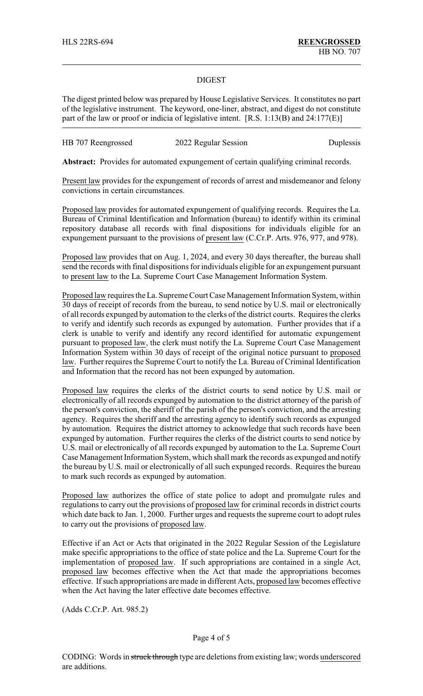#### DIGEST

The digest printed below was prepared by House Legislative Services. It constitutes no part of the legislative instrument. The keyword, one-liner, abstract, and digest do not constitute part of the law or proof or indicia of legislative intent. [R.S. 1:13(B) and 24:177(E)]

| HB 707 Reengrossed | 2022 Regular Session | Duplessis |
|--------------------|----------------------|-----------|
|--------------------|----------------------|-----------|

**Abstract:** Provides for automated expungement of certain qualifying criminal records.

Present law provides for the expungement of records of arrest and misdemeanor and felony convictions in certain circumstances.

Proposed law provides for automated expungement of qualifying records. Requires the La. Bureau of Criminal Identification and Information (bureau) to identify within its criminal repository database all records with final dispositions for individuals eligible for an expungement pursuant to the provisions of present law (C.Cr.P. Arts. 976, 977, and 978).

Proposed law provides that on Aug. 1, 2024, and every 30 days thereafter, the bureau shall send the records with final dispositions for individuals eligible for an expungement pursuant to present law to the La. Supreme Court Case Management Information System.

Proposed law requires the La. Supreme Court Case Management Information System, within 30 days of receipt of records from the bureau, to send notice by U.S. mail or electronically of all records expunged by automation to the clerks of the district courts. Requires the clerks to verify and identify such records as expunged by automation. Further provides that if a clerk is unable to verify and identify any record identified for automatic expungement pursuant to proposed law, the clerk must notify the La. Supreme Court Case Management Information System within 30 days of receipt of the original notice pursuant to proposed law. Further requires the Supreme Court to notify the La. Bureau of Criminal Identification and Information that the record has not been expunged by automation.

Proposed law requires the clerks of the district courts to send notice by U.S. mail or electronically of all records expunged by automation to the district attorney of the parish of the person's conviction, the sheriff of the parish of the person's conviction, and the arresting agency. Requires the sheriff and the arresting agency to identify such records as expunged by automation. Requires the district attorney to acknowledge that such records have been expunged by automation. Further requires the clerks of the district courts to send notice by U.S. mail or electronically of all records expunged by automation to the La. Supreme Court Case Management Information System, which shall mark the records as expunged and notify the bureau by U.S. mail or electronically of all such expunged records. Requires the bureau to mark such records as expunged by automation.

Proposed law authorizes the office of state police to adopt and promulgate rules and regulations to carry out the provisions of proposed law for criminal records in district courts which date back to Jan. 1, 2000. Further urges and requests the supreme court to adopt rules to carry out the provisions of proposed law.

Effective if an Act or Acts that originated in the 2022 Regular Session of the Legislature make specific appropriations to the office of state police and the La. Supreme Court for the implementation of proposed law. If such appropriations are contained in a single Act, proposed law becomes effective when the Act that made the appropriations becomes effective. If such appropriations are made in different Acts, proposed law becomes effective when the Act having the later effective date becomes effective.

(Adds C.Cr.P. Art. 985.2)